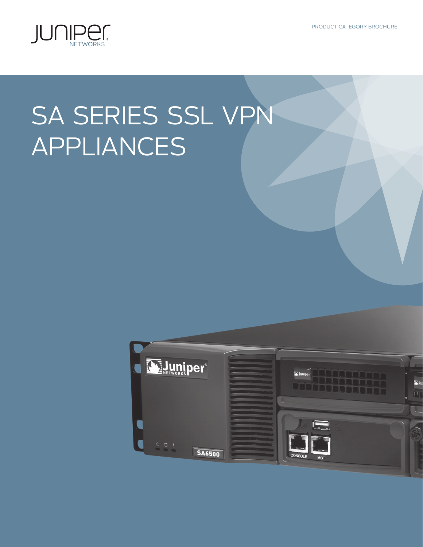PRODUCT CATEGORY BROCHURE



# SA SERIES SSL VPN APPLIANCES

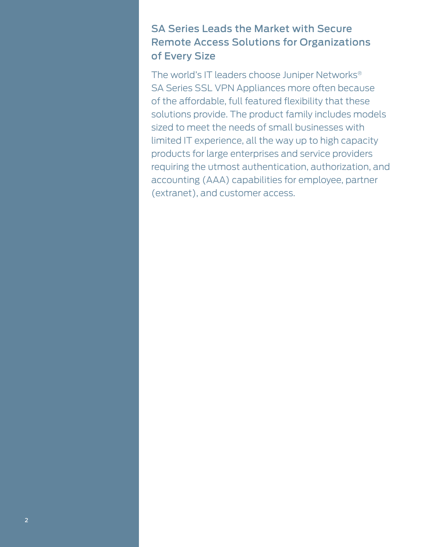# SA Series Leads the Market with Secure Remote Access Solutions for Organizations of Every Size

The world's IT leaders choose Juniper Networks® SA Series SSL VPN Appliances more often because of the affordable, full featured flexibility that these solutions provide. The product family includes models sized to meet the needs of small businesses with limited IT experience, all the way up to high capacity products for large enterprises and service providers requiring the utmost authentication, authorization, and accounting (AAA) capabilities for employee, partner (extranet), and customer access.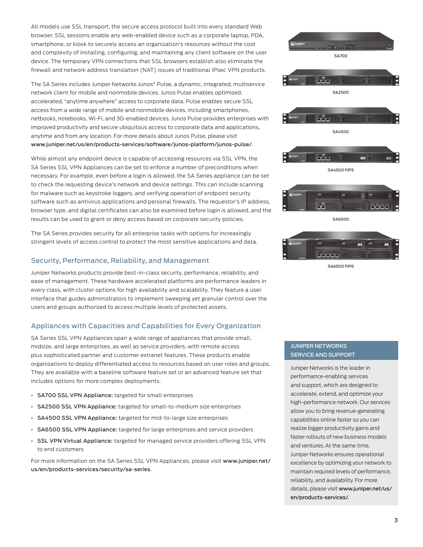All models use SSL transport, the secure access protocol built into every standard Web browser. SSL sessions enable any web-enabled device such as a corporate laptop, PDA, smartphone, or kiosk to securely access an organization's resources without the cost and complexity of installing, configuring, and maintaining any client software on the user device. The temporary VPN connections that SSL browsers establish also eliminate the firewall and network address translation (NAT) issues of traditional IPsec VPN products.

The SA Series includes Juniper Networks Junos® Pulse, a dynamic, integrated, multiservice network client for mobile and nonmobile devices. Junos Pulse enables optimized, accelerated, "anytime anywhere" access to corporate data. Pulse enables secure SSL access from a wide range of mobile and nonmobile devices, including smartphones, netbooks, notebooks, Wi-Fi, and 3G-enabled devices. Junos Pulse provides enterprises with improved productivity and secure ubiquitous access to corporate data and applications, anytime and from any location. For more details about Junos Pulse, please visit www.juniper.net/us/en/products-services/software/junos-platform/junos-pulse/.

While almost any endpoint device is capable of accessing resources via SSL VPN, the SA Series SSL VPN Appliances can be set to enforce a number of preconditions when necessary. For example, even before a login is allowed, the SA Series appliance can be set to check the requesting device's network and device settings. This can include scanning for malware such as keystroke loggers, and verifying operation of endpoint security software such as antivirus applications and personal firewalls. The requestor's IP address, browser type, and digital certificates can also be examined before login is allowed, and the results can be used to grant or deny access based on corporate security policies.

The SA Series provides security for all enterprise tasks with options for increasingly stringent levels of access control to protect the most sensitive applications and data.

## Security, Performance, Reliability, and Management

Juniper Networks products provide best-in-class security, performance, reliability, and ease of management. These hardware accelerated platforms are performance leaders in every class, with cluster options for high availability and scalability. They feature a user interface that guides administrators to implement sweeping yet granular control over the users and groups authorized to access multiple levels of protected assets.

## Appliances with Capacities and Capabilities for Every Organization

SA Series SSL VPN Appliances span a wide range of appliances that provide small, midsize, and large enterprises, as well as service providers, with remote access plus sophisticated partner and customer extranet features. These products enable organizations to deploy differentiated access to resources based on user roles and groups. They are available with a baseline software feature set or an advanced feature set that includes options for more complex deployments.

- [SA700 SSL VPN Appliance](http://www.juniper.net/us/en/products-services/security/sa-series/sa700/): targeted for small enterprises
- [SA2500 SSL VPN Appliance:](http://www.juniper.net/us/en/products-services/security/sa-series/sa2500/) targeted for small-to-medium size enterprises
- [SA4500 SSL VPN Appliance](http://www.juniper.net/us/en/products-services/security/sa-series/sa4500/): targeted for mid-to-large size enterprises
- [SA6500 SSL VPN Appliance](http://www.juniper.net/us/en/products-services/security/sa-series/sa6500/): targeted for large enterprises and service providers
- [SSL VPN Virtual Appliance:](www.juniper.net/us/en/products-services/software/security/sa-series/virtual-appliance) targeted for managed service providers offering SSL VPN to end customers

For more information on the SA Series SSL VPN Appliances, please visit www.juniper.net/ us/en/products-services/security/sa-series.



### JUNIPER NETWORKS SERVICE AND SUPPORT

Juniper Networks is the leader in performance-enabling services and support, which are designed to accelerate, extend, and optimize your high-performance network. Our services allow you to bring revenue-generating capabilities online faster so you can realize bigger productivity gains and faster rollouts of new business models and ventures. At the same time, Juniper Networks ensures operational excellence by optimizing your network to maintain required levels of performance, reliability, and availability. For more details, please visit [www.juniper.net/us/](www.juniper.net/us/en/products-services/) [en/products-services/](www.juniper.net/us/en/products-services/).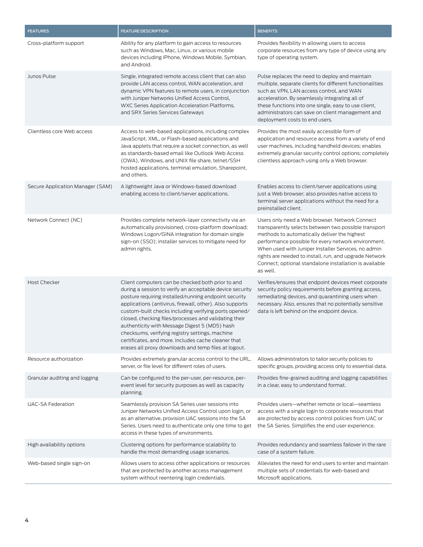| <b>FEATURES</b>                  | <b>FEATURE DESCRIPTION</b>                                                                                                                                                                                                                                                                                                                                                                                                                                                                                                                                              | <b>BENEFITS</b>                                                                                                                                                                                                                                                                                                                                                                                      |
|----------------------------------|-------------------------------------------------------------------------------------------------------------------------------------------------------------------------------------------------------------------------------------------------------------------------------------------------------------------------------------------------------------------------------------------------------------------------------------------------------------------------------------------------------------------------------------------------------------------------|------------------------------------------------------------------------------------------------------------------------------------------------------------------------------------------------------------------------------------------------------------------------------------------------------------------------------------------------------------------------------------------------------|
| Cross-platform support           | Ability for any platform to gain access to resources<br>such as Windows, Mac, Linux, or various mobile<br>devices including iPhone, Windows Mobile, Symbian,<br>and Android.                                                                                                                                                                                                                                                                                                                                                                                            | Provides flexibility in allowing users to access<br>corporate resources from any type of device using any<br>type of operating system.                                                                                                                                                                                                                                                               |
| Junos Pulse                      | Single, integrated remote access client that can also<br>provide LAN access control, WAN acceleration, and<br>dynamic VPN features to remote users, in conjunction<br>with Juniper Networks Unified Access Control,<br>WXC Series Application Acceleration Platforms,<br>and SRX Series Services Gateways                                                                                                                                                                                                                                                               | Pulse replaces the need to deploy and maintain<br>multiple, separate clients for different functionalities<br>such as VPN, LAN access control, and WAN<br>acceleration. By seamlessly integrating all of<br>these functions into one single, easy to use client,<br>administrators can save on client management and<br>deployment costs to end users.                                               |
| Clientless core Web access       | Access to web-based applications, including complex<br>JavaScript, XML, or Flash-based applications and<br>Java applets that require a socket connection, as well<br>as standards-based email like Outlook Web Access<br>(OWA), Windows, and UNIX file share, telnet/SSH<br>hosted applications, terminal emulation, Sharepoint,<br>and others.                                                                                                                                                                                                                         | Provides the most easily accessible form of<br>application and resource access from a variety of end<br>user machines, including handheld devices; enables<br>extremely granular security control options; completely<br>clientless approach using only a Web browser.                                                                                                                               |
| Secure Application Manager (SAM) | A lightweight Java or Windows-based download<br>enabling access to client/server applications.                                                                                                                                                                                                                                                                                                                                                                                                                                                                          | Enables access to client/server applications using<br>just a Web browser; also provides native access to<br>terminal server applications without the need for a<br>preinstalled client.                                                                                                                                                                                                              |
| Network Connect (NC)             | Provides complete network-layer connectivity via an<br>automatically provisioned, cross-platform download;<br>Windows Logon/GINA integration for domain single<br>sign-on (SSO); installer services to mitigate need for<br>admin rights.                                                                                                                                                                                                                                                                                                                               | Users only need a Web browser. Network Connect<br>transparently selects between two possible transport<br>methods to automatically deliver the highest<br>performance possible for every network environment.<br>When used with Juniper Installer Services, no admin<br>rights are needed to install, run, and upgrade Network<br>Connect; optional standalone installation is available<br>as well. |
| <b>Host Checker</b>              | Client computers can be checked both prior to and<br>during a session to verify an acceptable device security<br>posture requiring installed/running endpoint security<br>applications (antivirus, firewall, other). Also supports<br>custom-built checks including verifying ports opened/<br>closed, checking files/processes and validating their<br>authenticity with Message Digest 5 (MD5) hash<br>checksums, verifying registry settings, machine<br>certificates, and more. Includes cache cleaner that<br>erases all proxy downloads and temp files at logout. | Verifies/ensures that endpoint devices meet corporate<br>security policy requirements before granting access,<br>remediating devices, and quarantining users when<br>necessary. Also, ensures that no potentially sensitive<br>data is left behind on the endpoint device.                                                                                                                           |
| Resource authorization           | Provides extremely granular access control to the URL,<br>server, or file level for different roles of users.                                                                                                                                                                                                                                                                                                                                                                                                                                                           | Allows administrators to tailor security policies to<br>specific groups, providing access only to essential data.                                                                                                                                                                                                                                                                                    |
| Granular auditing and logging    | Can be configured to the per-user, per-resource, per-<br>event level for security purposes as well as capacity<br>planning.                                                                                                                                                                                                                                                                                                                                                                                                                                             | Provides fine-grained auditing and logging capabilities<br>in a clear, easy to understand format.                                                                                                                                                                                                                                                                                                    |
| <b>UAC-SA Federation</b>         | Seamlessly provision SA Series user sessions into<br>Juniper Networks Unified Access Control upon login, or<br>as an alternative, provision UAC sessions into the SA<br>Series. Users need to authenticate only one time to get<br>access in these types of environments.                                                                                                                                                                                                                                                                                               | Provides users-whether remote or local-seamless<br>access with a single login to corporate resources that<br>are protected by access control policies from UAC or<br>the SA Series. Simplifies the end user experience.                                                                                                                                                                              |
| High availability options        | Clustering options for performance scalability to<br>handle the most demanding usage scenarios.                                                                                                                                                                                                                                                                                                                                                                                                                                                                         | Provides redundancy and seamless failover in the rare<br>case of a system failure.                                                                                                                                                                                                                                                                                                                   |
| Web-based single sign-on         | Allows users to access other applications or resources<br>that are protected by another access management<br>system without reentering login credentials.                                                                                                                                                                                                                                                                                                                                                                                                               | Alleviates the need for end users to enter and maintain<br>multiple sets of credentials for web-based and<br>Microsoft applications.                                                                                                                                                                                                                                                                 |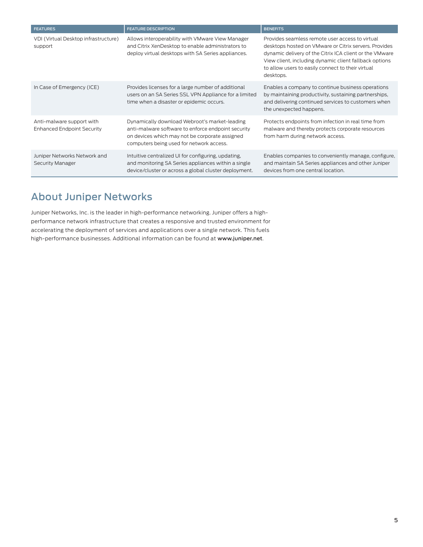| <b>FEATURES</b>                                                | <b>FEATURE DESCRIPTION</b>                                                                                                                                                                        | <b>BENEFITS</b>                                                                                                                                                                                                                                                                                 |
|----------------------------------------------------------------|---------------------------------------------------------------------------------------------------------------------------------------------------------------------------------------------------|-------------------------------------------------------------------------------------------------------------------------------------------------------------------------------------------------------------------------------------------------------------------------------------------------|
| VDI (Virtual Desktop infrastructure)<br>support                | Allows interoperability with VMware View Manager<br>and Citrix XenDesktop to enable administrators to<br>deploy virtual desktops with SA Series appliances.                                       | Provides seamless remote user access to virtual<br>desktops hosted on VMware or Citrix servers. Provides<br>dynamic delivery of the Citrix ICA client or the VMware<br>View client, including dynamic client fallback options<br>to allow users to easily connect to their virtual<br>desktops. |
| In Case of Emergency (ICE)                                     | Provides licenses for a large number of additional<br>users on an SA Series SSL VPN Appliance for a limited<br>time when a disaster or epidemic occurs.                                           | Enables a company to continue business operations<br>by maintaining productivity, sustaining partnerships,<br>and delivering continued services to customers when<br>the unexpected happens.                                                                                                    |
| Anti-malware support with<br><b>Enhanced Endpoint Security</b> | Dynamically download Webroot's market-leading<br>anti-malware software to enforce endpoint security<br>on devices which may not be corporate assigned<br>computers being used for network access. | Protects endpoints from infection in real time from<br>malware and thereby protects corporate resources<br>from harm during network access.                                                                                                                                                     |
| Juniper Networks Network and<br>Security Manager               | Intuitive centralized UI for configuring, updating,<br>and monitoring SA Series appliances within a single<br>device/cluster or across a global cluster deployment.                               | Enables companies to conveniently manage, configure,<br>and maintain SA Series appliances and other Juniper<br>devices from one central location.                                                                                                                                               |

# About Juniper Networks

Juniper Networks, Inc. is the leader in high-performance networking. Juniper offers a highperformance network infrastructure that creates a responsive and trusted environment for accelerating the deployment of services and applications over a single network. This fuels high-performance businesses. Additional information can be found at www.juniper.net.